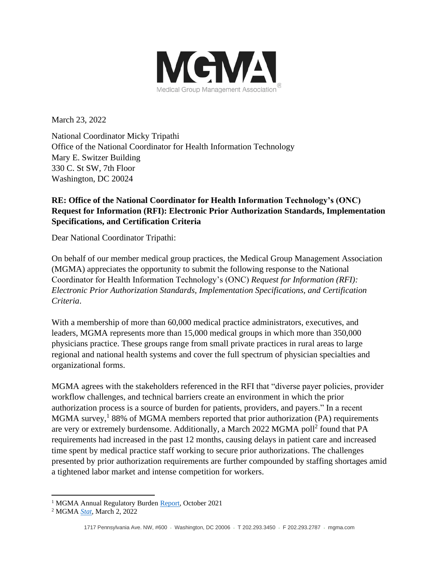

March 23, 2022

National Coordinator Micky Tripathi Office of the National Coordinator for Health Information Technology Mary E. Switzer Building 330 C. St SW, 7th Floor Washington, DC 20024

# **RE: Office of the National Coordinator for Health Information Technology's (ONC) Request for Information (RFI): Electronic Prior Authorization Standards, Implementation Specifications, and Certification Criteria**

Dear National Coordinator Tripathi:

On behalf of our member medical group practices, the Medical Group Management Association (MGMA) appreciates the opportunity to submit the following response to the National Coordinator for Health Information Technology's (ONC) *Request for Information (RFI): Electronic Prior Authorization Standards, Implementation Specifications, and Certification Criteria*.

With a membership of more than 60,000 medical practice administrators, executives, and leaders, MGMA represents more than 15,000 medical groups in which more than 350,000 physicians practice. These groups range from small private practices in rural areas to large regional and national health systems and cover the full spectrum of physician specialties and organizational forms.

MGMA agrees with the stakeholders referenced in the RFI that "diverse payer policies, provider workflow challenges, and technical barriers create an environment in which the prior authorization process is a source of burden for patients, providers, and payers." In a recent MGMA survey,<sup>1</sup> 88% of MGMA members reported that prior authorization (PA) requirements are very or extremely burdensome. Additionally, a March 2022 MGMA poll<sup>2</sup> found that PA requirements had increased in the past 12 months, causing delays in patient care and increased time spent by medical practice staff working to secure prior authorizations. The challenges presented by prior authorization requirements are further compounded by staffing shortages amid a tightened labor market and intense competition for workers.

<sup>&</sup>lt;sup>1</sup> MGMA Annual Regulatory Burden [Report,](https://www.mgma.com/getattachment/22ca835f-b90e-4b54-ad93-9c77dfed3bcb/MGMA-Annual-Regulatory-Burden-Report-October-2021.pdf.aspx?lang=en-US&ext=.pdf) October 2021

<sup>2</sup> MGMA *[Stat](https://www.mgma.com/data/data-stories/virtually-all-medical-groups-say-payer-prior-autho)*, March 2, 2022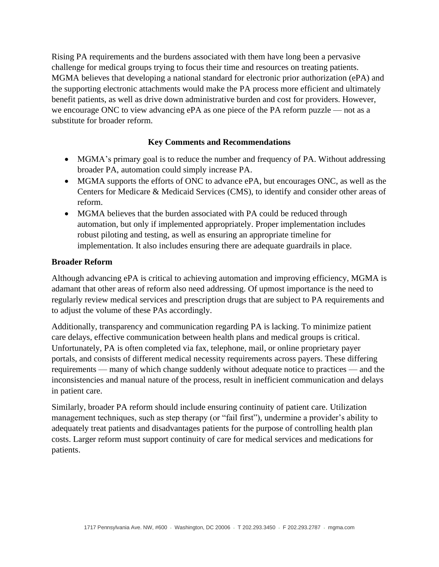Rising PA requirements and the burdens associated with them have long been a pervasive challenge for medical groups trying to focus their time and resources on treating patients. MGMA believes that developing a national standard for electronic prior authorization (ePA) and the supporting electronic attachments would make the PA process more efficient and ultimately benefit patients, as well as drive down administrative burden and cost for providers. However, we encourage ONC to view advancing ePA as one piece of the PA reform puzzle — not as a substitute for broader reform.

## **Key Comments and Recommendations**

- MGMA's primary goal is to reduce the number and frequency of PA. Without addressing broader PA, automation could simply increase PA.
- MGMA supports the efforts of ONC to advance ePA, but encourages ONC, as well as the Centers for Medicare & Medicaid Services (CMS), to identify and consider other areas of reform.
- MGMA believes that the burden associated with PA could be reduced through automation, but only if implemented appropriately. Proper implementation includes robust piloting and testing, as well as ensuring an appropriate timeline for implementation. It also includes ensuring there are adequate guardrails in place.

## **Broader Reform**

Although advancing ePA is critical to achieving automation and improving efficiency, MGMA is adamant that other areas of reform also need addressing. Of upmost importance is the need to regularly review medical services and prescription drugs that are subject to PA requirements and to adjust the volume of these PAs accordingly.

Additionally, transparency and communication regarding PA is lacking. To minimize patient care delays, effective communication between health plans and medical groups is critical. Unfortunately, PA is often completed via fax, telephone, mail, or online proprietary payer portals, and consists of different medical necessity requirements across payers. These differing requirements — many of which change suddenly without adequate notice to practices — and the inconsistencies and manual nature of the process, result in inefficient communication and delays in patient care.

Similarly, broader PA reform should include ensuring continuity of patient care. Utilization management techniques, such as step therapy (or "fail first"), undermine a provider's ability to adequately treat patients and disadvantages patients for the purpose of controlling health plan costs. Larger reform must support continuity of care for medical services and medications for patients.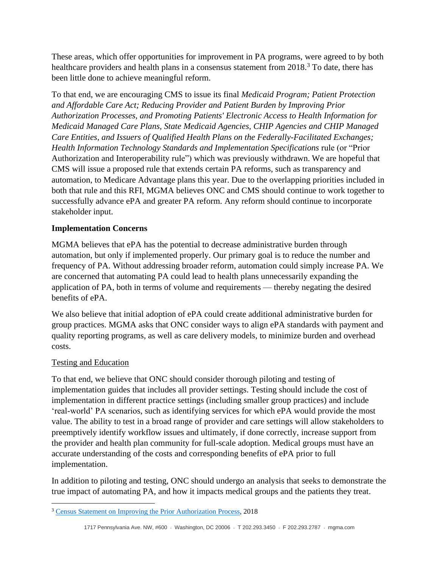These areas, which offer opportunities for improvement in PA programs, were agreed to by both healthcare providers and health plans in a consensus statement from 2018.<sup>3</sup> To date, there has been little done to achieve meaningful reform.

To that end, we are encouraging CMS to issue its final *Medicaid Program; Patient Protection and Affordable Care Act; Reducing Provider and Patient Burden by Improving Prior Authorization Processes, and Promoting Patients' Electronic Access to Health Information for Medicaid Managed Care Plans, State Medicaid Agencies, CHIP Agencies and CHIP Managed Care Entities, and Issuers of Qualified Health Plans on the Federally-Facilitated Exchanges; Health Information Technology Standards and Implementation Specifications* rule (or "Prior Authorization and Interoperability rule") which was previously withdrawn. We are hopeful that CMS will issue a proposed rule that extends certain PA reforms, such as transparency and automation, to Medicare Advantage plans this year. Due to the overlapping priorities included in both that rule and this RFI, MGMA believes ONC and CMS should continue to work together to successfully advance ePA and greater PA reform. Any reform should continue to incorporate stakeholder input.

## **Implementation Concerns**

MGMA believes that ePA has the potential to decrease administrative burden through automation, but only if implemented properly. Our primary goal is to reduce the number and frequency of PA. Without addressing broader reform, automation could simply increase PA. We are concerned that automating PA could lead to health plans unnecessarily expanding the application of PA, both in terms of volume and requirements — thereby negating the desired benefits of ePA.

We also believe that initial adoption of ePA could create additional administrative burden for group practices. MGMA asks that ONC consider ways to align ePA standards with payment and quality reporting programs, as well as care delivery models, to minimize burden and overhead costs.

## Testing and Education

To that end, we believe that ONC should consider thorough piloting and testing of implementation guides that includes all provider settings. Testing should include the cost of implementation in different practice settings (including smaller group practices) and include 'real-world' PA scenarios, such as identifying services for which ePA would provide the most value. The ability to test in a broad range of provider and care settings will allow stakeholders to preemptively identify workflow issues and ultimately, if done correctly, increase support from the provider and health plan community for full-scale adoption. Medical groups must have an accurate understanding of the costs and corresponding benefits of ePA prior to full implementation.

In addition to piloting and testing, ONC should undergo an analysis that seeks to demonstrate the true impact of automating PA, and how it impacts medical groups and the patients they treat.

<sup>&</sup>lt;sup>3</sup> [Census Statement on Improving the Prior Authorization Process,](https://edhub.ama-assn.org/data/multimedia/10.1001ama.2018.0080supp1.pdf) 2018